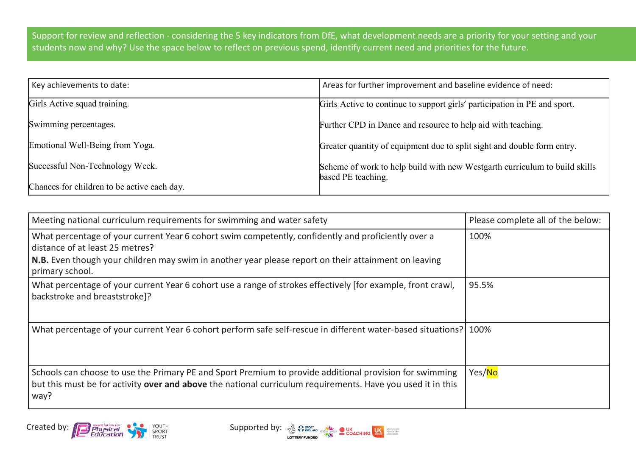Support for review and reflection - considering the 5 key indicators from DfE, what development needs are a priority for your setting and your students now and why? Use the space below to reflect on previous spend, identify current need and priorities for the future.

| Key achievements to date:                   | Areas for further improvement and baseline evidence of need:                                     |
|---------------------------------------------|--------------------------------------------------------------------------------------------------|
| Girls Active squad training.                | Girls Active to continue to support girls' participation in PE and sport.                        |
| Swimming percentages.                       | Further CPD in Dance and resource to help aid with teaching.                                     |
| Emotional Well-Being from Yoga.             | Greater quantity of equipment due to split sight and double form entry.                          |
| Successful Non-Technology Week.             | Scheme of work to help build with new Westgarth curriculum to build skills<br>based PE teaching. |
| Chances for children to be active each day. |                                                                                                  |

| Meeting national curriculum requirements for swimming and water safety                                                                                                                                                                                            | Please complete all of the below: |
|-------------------------------------------------------------------------------------------------------------------------------------------------------------------------------------------------------------------------------------------------------------------|-----------------------------------|
| What percentage of your current Year 6 cohort swim competently, confidently and proficiently over a<br>distance of at least 25 metres?<br>N.B. Even though your children may swim in another year please report on their attainment on leaving<br>primary school. | 100%                              |
| What percentage of your current Year 6 cohort use a range of strokes effectively [for example, front crawl,<br>backstroke and breaststroke]?                                                                                                                      | 95.5%                             |
| What percentage of your current Year 6 cohort perform safe self-rescue in different water-based situations? 100%                                                                                                                                                  |                                   |
| Schools can choose to use the Primary PE and Sport Premium to provide additional provision for swimming<br>but this must be for activity over and above the national curriculum requirements. Have you used it in this<br>way?                                    | Yes/No                            |

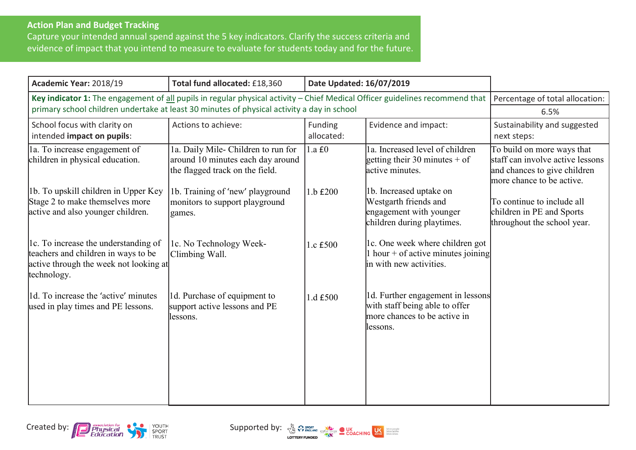## **Action Plan and Budget Tracking**

Capture your intended annual spend against the 5 key indicators. Clarify the success criteria and evidence of impact that you intend to measure to evaluate for students today and for the future.

| Academic Year: 2018/19                                                                                                              | Total fund allocated: £18,360                                                                               | Date Updated: 16/07/2019 |                                                                                                                    |                                                                                                                             |
|-------------------------------------------------------------------------------------------------------------------------------------|-------------------------------------------------------------------------------------------------------------|--------------------------|--------------------------------------------------------------------------------------------------------------------|-----------------------------------------------------------------------------------------------------------------------------|
| Key indicator 1: The engagement of all pupils in regular physical activity - Chief Medical Officer guidelines recommend that        |                                                                                                             |                          |                                                                                                                    | Percentage of total allocation:                                                                                             |
| primary school children undertake at least 30 minutes of physical activity a day in school                                          |                                                                                                             |                          |                                                                                                                    | 6.5%                                                                                                                        |
| School focus with clarity on<br>intended impact on pupils:                                                                          | Actions to achieve:                                                                                         | Funding<br>allocated:    | Evidence and impact:                                                                                               | Sustainability and suggested<br>next steps:                                                                                 |
| la. To increase engagement of<br>children in physical education.                                                                    | 1a. Daily Mile- Children to run for<br>around 10 minutes each day around<br>the flagged track on the field. | 1.a f0                   | la. Increased level of children<br>getting their 30 minutes + of<br>active minutes.                                | To build on more ways that<br>staff can involve active lessons<br>and chances to give children<br>more chance to be active. |
| 1b. To upskill children in Upper Key<br>Stage 2 to make themselves more<br>active and also younger children.                        | 1b. Training of 'new' playground<br>monitors to support playground<br>games.                                | 1.b £200                 | 1b. Increased uptake on<br>Westgarth friends and<br>engagement with younger<br>children during playtimes.          | To continue to include all<br>children in PE and Sports<br>throughout the school year.                                      |
| 1. To increase the understanding of<br>teachers and children in ways to be<br>active through the week not looking at<br>technology. | 1c. No Technology Week-<br>Climbing Wall.                                                                   | 1.c £500                 | Ic. One week where children got<br>$\ln \text{hour} + \text{of active minutes joining}$<br>in with new activities. |                                                                                                                             |
| 1d. To increase the 'active' minutes<br>used in play times and PE lessons.                                                          | 1d. Purchase of equipment to<br>support active lessons and PE<br>lessons.                                   | 1.d £500                 | 1d. Further engagement in lessons<br>with staff being able to offer<br>more chances to be active in<br>llessons.   |                                                                                                                             |



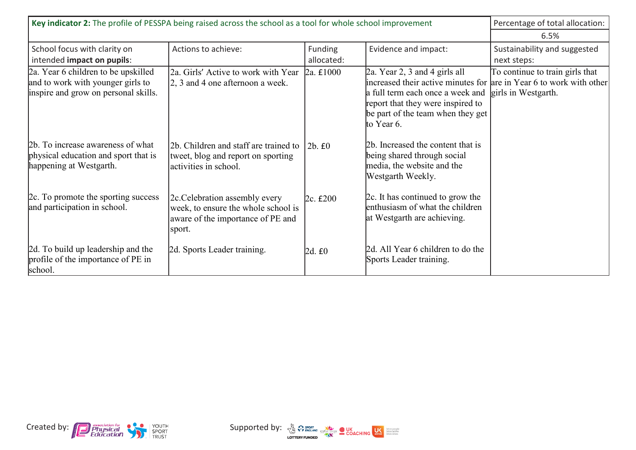| Key indicator 2: The profile of PESSPA being raised across the school as a tool for whole school improvement     |                                                                                                                      |                       |                                                                                                                                                                                                 | Percentage of total allocation:                                                            |
|------------------------------------------------------------------------------------------------------------------|----------------------------------------------------------------------------------------------------------------------|-----------------------|-------------------------------------------------------------------------------------------------------------------------------------------------------------------------------------------------|--------------------------------------------------------------------------------------------|
|                                                                                                                  |                                                                                                                      |                       |                                                                                                                                                                                                 | 6.5%                                                                                       |
| School focus with clarity on<br>intended impact on pupils:                                                       | Actions to achieve:                                                                                                  | Funding<br>allocated: | Evidence and impact:                                                                                                                                                                            | Sustainability and suggested<br>next steps:                                                |
| 2a. Year 6 children to be upskilled<br>and to work with younger girls to<br>inspire and grow on personal skills. | 2a. Girls' Active to work with Year<br>$2, 3$ and 4 one afternoon a week.                                            | $2a. \pounds 1000$    | 2a. Year 2, 3 and 4 girls all<br>increased their active minutes for<br>a full term each once a week and<br>report that they were inspired to<br>be part of the team when they get<br>to Year 6. | To continue to train girls that<br>are in Year 6 to work with other<br>girls in Westgarth. |
| 2b. To increase awareness of what<br>physical education and sport that is<br>happening at Westgarth.             | 2b. Children and staff are trained to<br>tweet, blog and report on sporting<br>activities in school.                 | 2b. f0                | 2b. Increased the content that is<br>being shared through social<br>media, the website and the<br>Westgarth Weekly.                                                                             |                                                                                            |
| 2c. To promote the sporting success<br>and participation in school.                                              | 2c. Celebration assembly every<br>week, to ensure the whole school is<br>aware of the importance of PE and<br>sport. | 2c. f200              | 2c. It has continued to grow the<br>enthusiasm of what the children<br>at Westgarth are achieving.                                                                                              |                                                                                            |
| 2d. To build up leadership and the<br>profile of the importance of PE in<br>school.                              | 2d. Sports Leader training.                                                                                          | 2d. £0                | 2d. All Year 6 children to do the<br>Sports Leader training.                                                                                                                                    |                                                                                            |



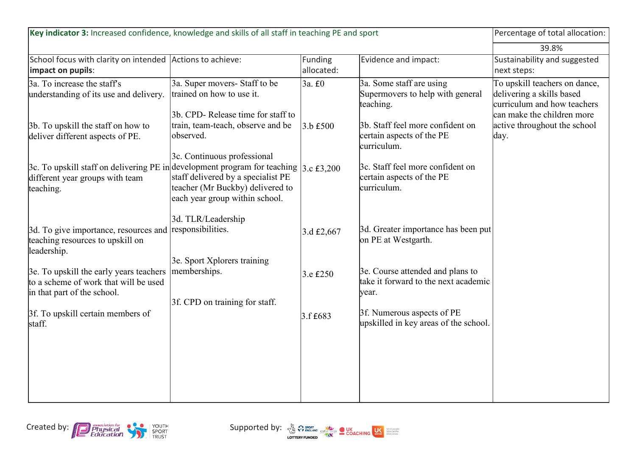| Key indicator 3: Increased confidence, knowledge and skills of all staff in teaching PE and sport                                                            |                                                                                                          |                       |                                                                                   | Percentage of total allocation:                                                                                         |
|--------------------------------------------------------------------------------------------------------------------------------------------------------------|----------------------------------------------------------------------------------------------------------|-----------------------|-----------------------------------------------------------------------------------|-------------------------------------------------------------------------------------------------------------------------|
|                                                                                                                                                              |                                                                                                          |                       |                                                                                   | 39.8%                                                                                                                   |
| School focus with clarity on intended Actions to achieve:<br>impact on pupils:                                                                               |                                                                                                          | Funding<br>allocated: | Evidence and impact:                                                              | Sustainability and suggested<br>next steps:                                                                             |
| 3a. To increase the staff's<br>understanding of its use and delivery.                                                                                        | 3a. Super movers- Staff to be<br>trained on how to use it.<br>3b. CPD-Release time for staff to          | 3a. £0                | 3a. Some staff are using<br>Supermovers to help with general<br>teaching.         | To upskill teachers on dance,<br>delivering a skills based<br>curriculum and how teachers<br>can make the children more |
| 3b. To upskill the staff on how to<br>deliver different aspects of PE.                                                                                       | train, team-teach, observe and be<br>observed.<br>3c. Continuous professional                            | $3.b$ £500            | 3b. Staff feel more confident on<br>certain aspects of the PE<br>curriculum.      | active throughout the school<br>day.                                                                                    |
| $\beta$ c. To upskill staff on delivering PE in development program for teaching $\beta$ . $\epsilon$ £3,200<br>different year groups with team<br>teaching. | staff delivered by a specialist PE<br>teacher (Mr Buckby) delivered to<br>each year group within school. |                       | 3c. Staff feel more confident on<br>certain aspects of the PE<br>curriculum.      |                                                                                                                         |
| 3d. To give importance, resources and responsibilities.<br>teaching resources to upskill on<br>leadership.                                                   | 3d. TLR/Leadership                                                                                       | 3.d £2,667            | 3d. Greater importance has been put<br>on PE at Westgarth.                        |                                                                                                                         |
| 3e. To upskill the early years teachers<br>to a scheme of work that will be used<br>in that part of the school.                                              | 3e. Sport Xplorers training<br>memberships.                                                              | 3.e £250              | 3e. Course attended and plans to<br>take it forward to the next academic<br>year. |                                                                                                                         |
| 3f. To upskill certain members of<br>staff.                                                                                                                  | 3f. CPD on training for staff.                                                                           | 3.f £683              | 3f. Numerous aspects of PE<br>upskilled in key areas of the school.               |                                                                                                                         |
|                                                                                                                                                              |                                                                                                          |                       |                                                                                   |                                                                                                                         |